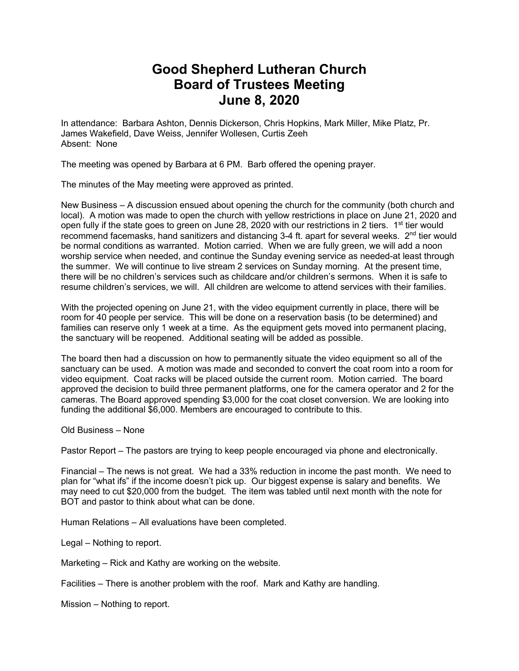## **Good Shepherd Lutheran Church Board of Trustees Meeting June 8, 2020**

In attendance: Barbara Ashton, Dennis Dickerson, Chris Hopkins, Mark Miller, Mike Platz, Pr. James Wakefield, Dave Weiss, Jennifer Wollesen, Curtis Zeeh Absent: None

The meeting was opened by Barbara at 6 PM. Barb offered the opening prayer.

The minutes of the May meeting were approved as printed.

New Business – A discussion ensued about opening the church for the community (both church and local). A motion was made to open the church with yellow restrictions in place on June 21, 2020 and open fully if the state goes to green on June 28, 2020 with our restrictions in 2 tiers.  $1<sup>st</sup>$  tier would recommend facemasks, hand sanitizers and distancing 3-4 ft. apart for several weeks.  $2<sup>nd</sup>$  tier would be normal conditions as warranted. Motion carried. When we are fully green, we will add a noon worship service when needed, and continue the Sunday evening service as needed-at least through the summer. We will continue to live stream 2 services on Sunday morning. At the present time, there will be no children's services such as childcare and/or children's sermons. When it is safe to resume children's services, we will. All children are welcome to attend services with their families.

With the projected opening on June 21, with the video equipment currently in place, there will be room for 40 people per service. This will be done on a reservation basis (to be determined) and families can reserve only 1 week at a time. As the equipment gets moved into permanent placing, the sanctuary will be reopened. Additional seating will be added as possible.

The board then had a discussion on how to permanently situate the video equipment so all of the sanctuary can be used. A motion was made and seconded to convert the coat room into a room for video equipment. Coat racks will be placed outside the current room. Motion carried. The board approved the decision to build three permanent platforms, one for the camera operator and 2 for the cameras. The Board approved spending \$3,000 for the coat closet conversion. We are looking into funding the additional \$6,000. Members are encouraged to contribute to this.

Old Business – None

Pastor Report – The pastors are trying to keep people encouraged via phone and electronically.

Financial – The news is not great. We had a 33% reduction in income the past month. We need to plan for "what ifs" if the income doesn't pick up. Our biggest expense is salary and benefits. We may need to cut \$20,000 from the budget. The item was tabled until next month with the note for BOT and pastor to think about what can be done.

Human Relations – All evaluations have been completed.

Legal – Nothing to report.

Marketing – Rick and Kathy are working on the website.

Facilities – There is another problem with the roof. Mark and Kathy are handling.

Mission – Nothing to report.